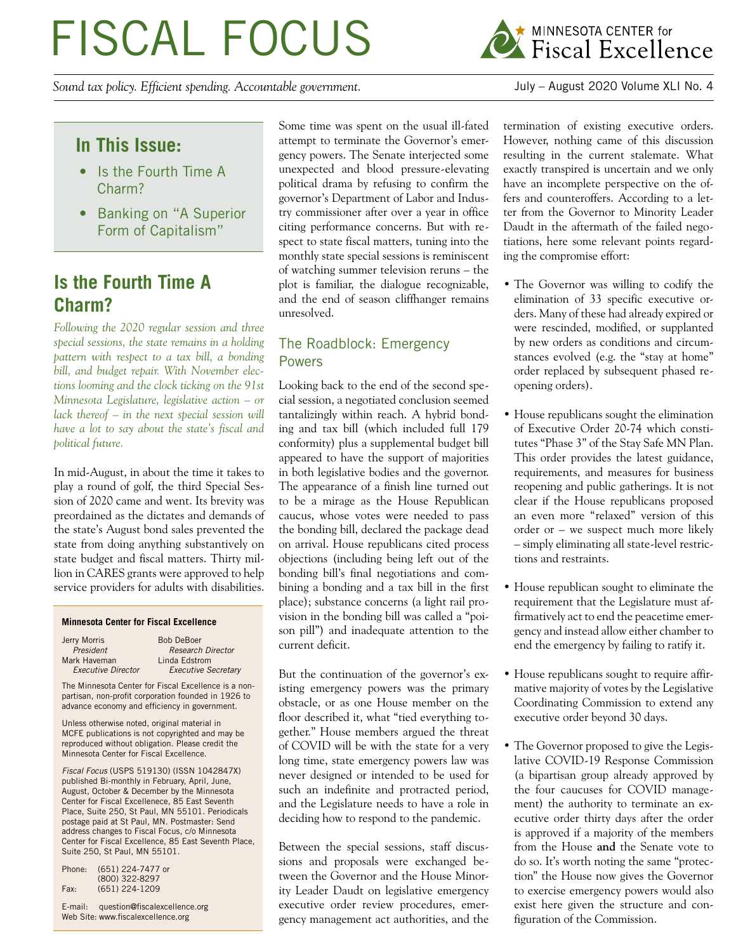# FISCAL FOCUS

*Sound tax policy. Efficient spending. Accountable government.* July – August 2020 Volume XLI No. 4



# **In This Issue:**

- Is the Fourth Time A Charm?
- Banking on "A Superior Form of Capitalism"

## **Is the Fourth Time A Charm?**

*Following the 2020 regular session and three special sessions, the state remains in a holding pattern with respect to a tax bill, a bonding bill, and budget repair. With November elections looming and the clock ticking on the 91st Minnesota Legislature, legislative action – or lack thereof – in the next special session will have a lot to say about the state's fiscal and political future.* 

In mid-August, in about the time it takes to play a round of golf, the third Special Session of 2020 came and went. Its brevity was preordained as the dictates and demands of the state's August bond sales prevented the state from doing anything substantively on state budget and fiscal matters. Thirty million in CARES grants were approved to help service providers for adults with disabilities.

#### **Minnesota Center for Fiscal Excellence**

| Jerry Morris              | <b>Bob DeBoer</b>          |
|---------------------------|----------------------------|
| President                 | <b>Research Director</b>   |
| Mark Haveman              | Linda Edstrom              |
| <b>Executive Director</b> | <b>Executive Secretary</b> |

The Minnesota Center for Fiscal Excellence is a nonpartisan, non-profit corporation founded in 1926 to advance economy and efficiency in government.

Unless otherwise noted, original material in MCFE publications is not copyrighted and may be reproduced without obligation. Please credit the Minnesota Center for Fiscal Excellence.

*Fiscal Focus* (USPS 519130) (ISSN 1042847X) published Bi-monthly in February, April, June, August, October & December by the Minnesota Center for Fiscal Excellenece, 85 East Seventh Place, Suite 250, St Paul, MN 55101. Periodicals postage paid at St Paul, MN. Postmaster: Send address changes to Fiscal Focus, c/o Minnesota Center for Fiscal Excellence, 85 East Seventh Place, Suite 250, St Paul, MN 55101.

| Phone: | (651) 224-7477 or |
|--------|-------------------|
|        | (800) 322-8297    |
| Fax:   | $(651)$ 224-1209  |

E-mail: question@fiscalexcellence.org Web Site: www.fiscalexcellence.org

Some time was spent on the usual ill-fated attempt to terminate the Governor's emergency powers. The Senate interjected some unexpected and blood pressure-elevating political drama by refusing to confirm the governor's Department of Labor and Industry commissioner after over a year in office citing performance concerns. But with respect to state fiscal matters, tuning into the monthly state special sessions is reminiscent of watching summer television reruns – the plot is familiar, the dialogue recognizable, and the end of season cliffhanger remains unresolved.

## The Roadblock: Emergency Powers

Looking back to the end of the second special session, a negotiated conclusion seemed tantalizingly within reach. A hybrid bonding and tax bill (which included full 179 conformity) plus a supplemental budget bill appeared to have the support of majorities in both legislative bodies and the governor. The appearance of a finish line turned out to be a mirage as the House Republican caucus, whose votes were needed to pass the bonding bill, declared the package dead on arrival. House republicans cited process objections (including being left out of the bonding bill's final negotiations and combining a bonding and a tax bill in the first place); substance concerns (a light rail provision in the bonding bill was called a "poison pill") and inadequate attention to the current deficit.

But the continuation of the governor's existing emergency powers was the primary obstacle, or as one House member on the floor described it, what "tied everything together." House members argued the threat of COVID will be with the state for a very long time, state emergency powers law was never designed or intended to be used for such an indefinite and protracted period, and the Legislature needs to have a role in deciding how to respond to the pandemic.

Between the special sessions, staff discussions and proposals were exchanged between the Governor and the House Minority Leader Daudt on legislative emergency executive order review procedures, emergency management act authorities, and the termination of existing executive orders. However, nothing came of this discussion resulting in the current stalemate. What exactly transpired is uncertain and we only have an incomplete perspective on the offers and counteroffers. According to a letter from the Governor to Minority Leader Daudt in the aftermath of the failed negotiations, here some relevant points regarding the compromise effort:

- The Governor was willing to codify the elimination of 33 specific executive orders. Many of these had already expired or were rescinded, modified, or supplanted by new orders as conditions and circumstances evolved (e.g. the "stay at home" order replaced by subsequent phased reopening orders).
- House republicans sought the elimination of Executive Order 20-74 which constitutes "Phase 3" of the Stay Safe MN Plan. This order provides the latest guidance, requirements, and measures for business reopening and public gatherings. It is not clear if the House republicans proposed an even more "relaxed" version of this order or – we suspect much more likely – simply eliminating all state-level restrictions and restraints.
- House republican sought to eliminate the requirement that the Legislature must affirmatively act to end the peacetime emergency and instead allow either chamber to end the emergency by failing to ratify it.
- House republicans sought to require affirmative majority of votes by the Legislative Coordinating Commission to extend any executive order beyond 30 days.
- The Governor proposed to give the Legislative COVID-19 Response Commission (a bipartisan group already approved by the four caucuses for COVID management) the authority to terminate an executive order thirty days after the order is approved if a majority of the members from the House **and** the Senate vote to do so. It's worth noting the same "protection" the House now gives the Governor to exercise emergency powers would also exist here given the structure and configuration of the Commission.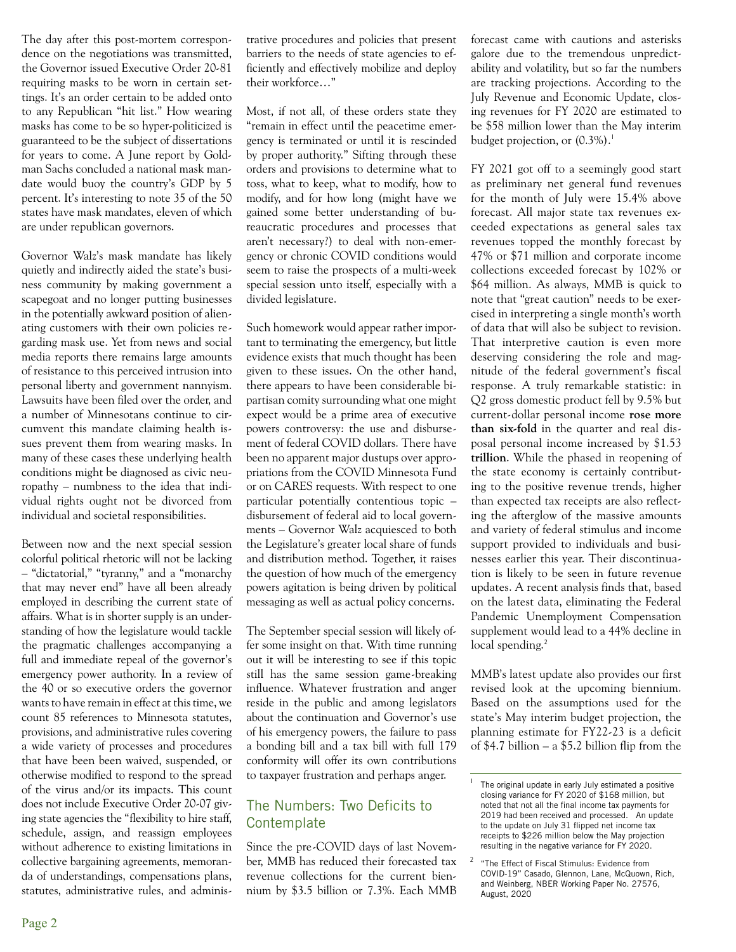The day after this post-mortem correspondence on the negotiations was transmitted, the Governor issued Executive Order 20-81 requiring masks to be worn in certain settings. It's an order certain to be added onto to any Republican "hit list." How wearing masks has come to be so hyper-politicized is guaranteed to be the subject of dissertations for years to come. A June report by Goldman Sachs concluded a national mask mandate would buoy the country's GDP by 5 percent. It's interesting to note 35 of the 50 states have mask mandates, eleven of which are under republican governors.

Governor Walz's mask mandate has likely quietly and indirectly aided the state's business community by making government a scapegoat and no longer putting businesses in the potentially awkward position of alienating customers with their own policies regarding mask use. Yet from news and social media reports there remains large amounts of resistance to this perceived intrusion into personal liberty and government nannyism. Lawsuits have been filed over the order, and a number of Minnesotans continue to circumvent this mandate claiming health issues prevent them from wearing masks. In many of these cases these underlying health conditions might be diagnosed as civic neuropathy – numbness to the idea that individual rights ought not be divorced from individual and societal responsibilities.

Between now and the next special session colorful political rhetoric will not be lacking – "dictatorial," "tyranny," and a "monarchy that may never end" have all been already employed in describing the current state of affairs. What is in shorter supply is an understanding of how the legislature would tackle the pragmatic challenges accompanying a full and immediate repeal of the governor's emergency power authority. In a review of the 40 or so executive orders the governor wants to have remain in effect at this time, we count 85 references to Minnesota statutes, provisions, and administrative rules covering a wide variety of processes and procedures that have been been waived, suspended, or otherwise modified to respond to the spread of the virus and/or its impacts. This count does not include Executive Order 20-07 giving state agencies the "flexibility to hire staff, schedule, assign, and reassign employees without adherence to existing limitations in collective bargaining agreements, memoranda of understandings, compensations plans, statutes, administrative rules, and administrative procedures and policies that present barriers to the needs of state agencies to efficiently and effectively mobilize and deploy their workforce…"

Most, if not all, of these orders state they "remain in effect until the peacetime emergency is terminated or until it is rescinded by proper authority." Sifting through these orders and provisions to determine what to toss, what to keep, what to modify, how to modify, and for how long (might have we gained some better understanding of bureaucratic procedures and processes that aren't necessary?) to deal with non-emergency or chronic COVID conditions would seem to raise the prospects of a multi-week special session unto itself, especially with a divided legislature.

Such homework would appear rather important to terminating the emergency, but little evidence exists that much thought has been given to these issues. On the other hand, there appears to have been considerable bipartisan comity surrounding what one might expect would be a prime area of executive powers controversy: the use and disbursement of federal COVID dollars. There have been no apparent major dustups over appropriations from the COVID Minnesota Fund or on CARES requests. With respect to one particular potentially contentious topic – disbursement of federal aid to local governments – Governor Walz acquiesced to both the Legislature's greater local share of funds and distribution method. Together, it raises the question of how much of the emergency powers agitation is being driven by political messaging as well as actual policy concerns.

The September special session will likely offer some insight on that. With time running out it will be interesting to see if this topic still has the same session game-breaking influence. Whatever frustration and anger reside in the public and among legislators about the continuation and Governor's use of his emergency powers, the failure to pass a bonding bill and a tax bill with full 179 conformity will offer its own contributions to taxpayer frustration and perhaps anger.

## The Numbers: Two Deficits to **Contemplate**

Since the pre-COVID days of last November, MMB has reduced their forecasted tax revenue collections for the current biennium by \$3.5 billion or 7.3%. Each MMB forecast came with cautions and asterisks galore due to the tremendous unpredictability and volatility, but so far the numbers are tracking projections. According to the July Revenue and Economic Update, closing revenues for FY 2020 are estimated to be \$58 million lower than the May interim budget projection, or  $(0.3\%)$ .<sup>1</sup>

FY 2021 got off to a seemingly good start as preliminary net general fund revenues for the month of July were 15.4% above forecast. All major state tax revenues exceeded expectations as general sales tax revenues topped the monthly forecast by 47% or \$71 million and corporate income collections exceeded forecast by 102% or \$64 million. As always, MMB is quick to note that "great caution" needs to be exercised in interpreting a single month's worth of data that will also be subject to revision. That interpretive caution is even more deserving considering the role and magnitude of the federal government's fiscal response. A truly remarkable statistic: in Q2 gross domestic product fell by 9.5% but current-dollar personal income **rose more than six-fold** in the quarter and real disposal personal income increased by \$1.53 **trillion**. While the phased in reopening of the state economy is certainly contributing to the positive revenue trends, higher than expected tax receipts are also reflecting the afterglow of the massive amounts and variety of federal stimulus and income support provided to individuals and businesses earlier this year. Their discontinuation is likely to be seen in future revenue updates. A recent analysis finds that, based on the latest data, eliminating the Federal Pandemic Unemployment Compensation supplement would lead to a 44% decline in local spending.<sup>2</sup>

MMB's latest update also provides our first revised look at the upcoming biennium. Based on the assumptions used for the state's May interim budget projection, the planning estimate for FY22-23 is a deficit of \$4.7 billion – a \$5.2 billion flip from the

The original update in early July estimated a positive closing variance for FY 2020 of \$168 million, but noted that not all the final income tax payments for 2019 had been received and processed. An update to the update on July 31 flipped net income tax receipts to \$226 million below the May projection resulting in the negative variance for FY 2020.

<sup>&</sup>quot;The Effect of Fiscal Stimulus: Evidence from COVID-19" Casado, Glennon, Lane, McQuown, Rich, and Weinberg, NBER Working Paper No. 27576, August, 2020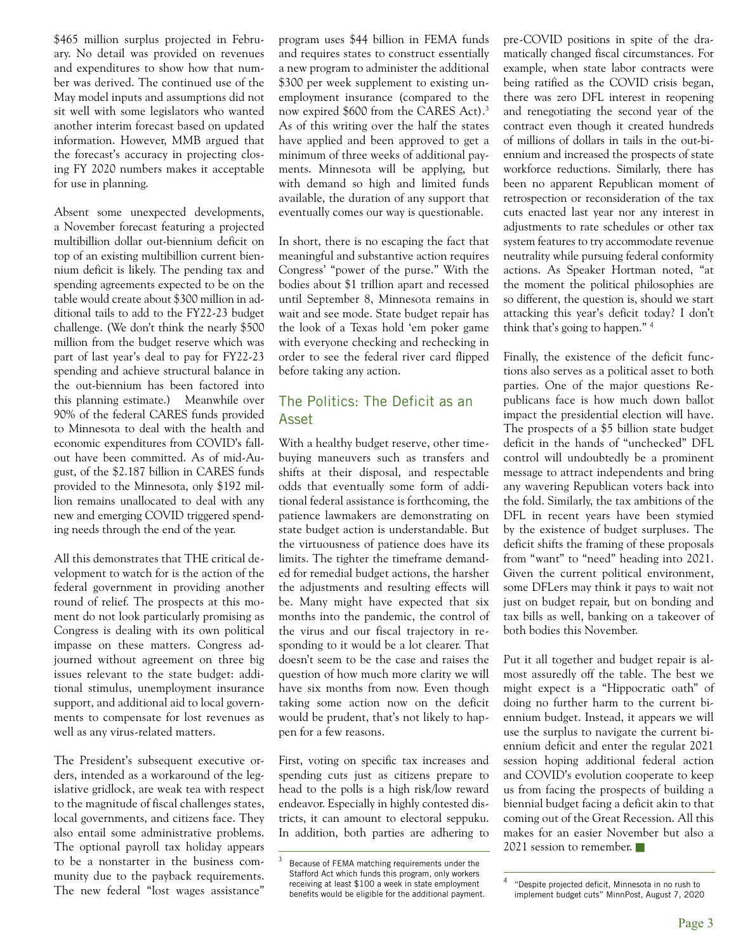\$465 million surplus projected in February. No detail was provided on revenues and expenditures to show how that number was derived. The continued use of the May model inputs and assumptions did not sit well with some legislators who wanted another interim forecast based on updated information. However, MMB argued that the forecast's accuracy in projecting closing FY 2020 numbers makes it acceptable for use in planning.

Absent some unexpected developments, a November forecast featuring a projected multibillion dollar out-biennium deficit on top of an existing multibillion current biennium deficit is likely. The pending tax and spending agreements expected to be on the table would create about \$300 million in additional tails to add to the FY22-23 budget challenge. (We don't think the nearly \$500 million from the budget reserve which was part of last year's deal to pay for FY22-23 spending and achieve structural balance in the out-biennium has been factored into this planning estimate.) Meanwhile over 90% of the federal CARES funds provided to Minnesota to deal with the health and economic expenditures from COVID's fallout have been committed. As of mid-August, of the \$2.187 billion in CARES funds provided to the Minnesota, only \$192 million remains unallocated to deal with any new and emerging COVID triggered spending needs through the end of the year.

All this demonstrates that THE critical development to watch for is the action of the federal government in providing another round of relief. The prospects at this moment do not look particularly promising as Congress is dealing with its own political impasse on these matters. Congress adjourned without agreement on three big issues relevant to the state budget: additional stimulus, unemployment insurance support, and additional aid to local governments to compensate for lost revenues as well as any virus-related matters.

The President's subsequent executive orders, intended as a workaround of the legislative gridlock, are weak tea with respect to the magnitude of fiscal challenges states, local governments, and citizens face. They also entail some administrative problems. The optional payroll tax holiday appears to be a nonstarter in the business community due to the payback requirements. The new federal "lost wages assistance"

program uses \$44 billion in FEMA funds and requires states to construct essentially a new program to administer the additional \$300 per week supplement to existing unemployment insurance (compared to the now expired \$600 from the CARES Act).<sup>3</sup> As of this writing over the half the states have applied and been approved to get a minimum of three weeks of additional payments. Minnesota will be applying, but with demand so high and limited funds available, the duration of any support that eventually comes our way is questionable.

In short, there is no escaping the fact that meaningful and substantive action requires Congress' "power of the purse." With the bodies about \$1 trillion apart and recessed until September 8, Minnesota remains in wait and see mode. State budget repair has the look of a Texas hold 'em poker game with everyone checking and rechecking in order to see the federal river card flipped before taking any action.

## The Politics: The Deficit as an Asset

With a healthy budget reserve, other timebuying maneuvers such as transfers and shifts at their disposal, and respectable odds that eventually some form of additional federal assistance is forthcoming, the patience lawmakers are demonstrating on state budget action is understandable. But the virtuousness of patience does have its limits. The tighter the timeframe demanded for remedial budget actions, the harsher the adjustments and resulting effects will be. Many might have expected that six months into the pandemic, the control of the virus and our fiscal trajectory in responding to it would be a lot clearer. That doesn't seem to be the case and raises the question of how much more clarity we will have six months from now. Even though taking some action now on the deficit would be prudent, that's not likely to happen for a few reasons.

First, voting on specific tax increases and spending cuts just as citizens prepare to head to the polls is a high risk/low reward endeavor. Especially in highly contested districts, it can amount to electoral seppuku. In addition, both parties are adhering to pre-COVID positions in spite of the dramatically changed fiscal circumstances. For example, when state labor contracts were being ratified as the COVID crisis began, there was zero DFL interest in reopening and renegotiating the second year of the contract even though it created hundreds of millions of dollars in tails in the out-biennium and increased the prospects of state workforce reductions. Similarly, there has been no apparent Republican moment of retrospection or reconsideration of the tax cuts enacted last year nor any interest in adjustments to rate schedules or other tax system features to try accommodate revenue neutrality while pursuing federal conformity actions. As Speaker Hortman noted, "at the moment the political philosophies are so different, the question is, should we start attacking this year's deficit today? I don't think that's going to happen." <sup>4</sup>

Finally, the existence of the deficit functions also serves as a political asset to both parties. One of the major questions Republicans face is how much down ballot impact the presidential election will have. The prospects of a \$5 billion state budget deficit in the hands of "unchecked" DFL control will undoubtedly be a prominent message to attract independents and bring any wavering Republican voters back into the fold. Similarly, the tax ambitions of the DFL in recent years have been stymied by the existence of budget surpluses. The deficit shifts the framing of these proposals from "want" to "need" heading into 2021. Given the current political environment, some DFLers may think it pays to wait not just on budget repair, but on bonding and tax bills as well, banking on a takeover of both bodies this November.

Put it all together and budget repair is almost assuredly off the table. The best we might expect is a "Hippocratic oath" of doing no further harm to the current biennium budget. Instead, it appears we will use the surplus to navigate the current biennium deficit and enter the regular 2021 session hoping additional federal action and COVID's evolution cooperate to keep us from facing the prospects of building a biennial budget facing a deficit akin to that coming out of the Great Recession. All this makes for an easier November but also a 2021 session to remember.

Because of FEMA matching requirements under the Stafford Act which funds this program, only workers receiving at least \$100 a week in state employment benefits would be eligible for the additional payment.

<sup>&</sup>quot;Despite projected deficit, Minnesota in no rush to implement budget cuts" MinnPost, August 7, 2020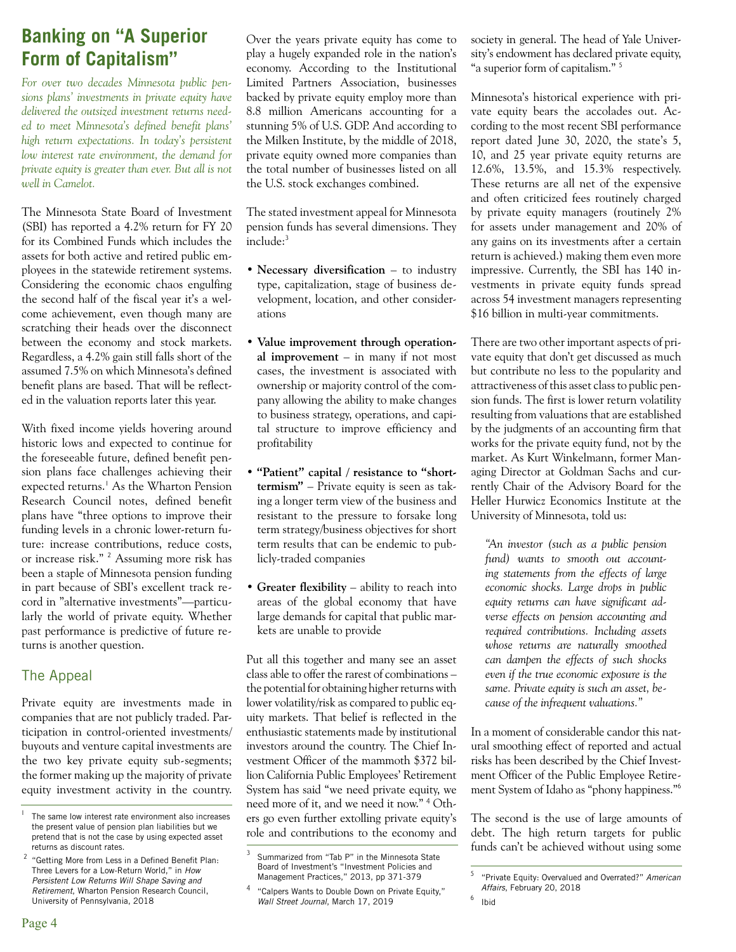# **Banking on "A Superior Form of Capitalism"**

*For over two decades Minnesota public pensions plans' investments in private equity have delivered the outsized investment returns needed to meet Minnesota's defined benefit plans' high return expectations. In today's persistent low interest rate environment, the demand for private equity is greater than ever. But all is not well in Camelot.*

The Minnesota State Board of Investment (SBI) has reported a 4.2% return for FY 20 for its Combined Funds which includes the assets for both active and retired public employees in the statewide retirement systems. Considering the economic chaos engulfing the second half of the fiscal year it's a welcome achievement, even though many are scratching their heads over the disconnect between the economy and stock markets. Regardless, a 4.2% gain still falls short of the assumed 7.5% on which Minnesota's defined benefit plans are based. That will be reflected in the valuation reports later this year.

With fixed income yields hovering around historic lows and expected to continue for the foreseeable future, defined benefit pension plans face challenges achieving their expected returns.<sup>1</sup> As the Wharton Pension Research Council notes, defined benefit plans have "three options to improve their funding levels in a chronic lower-return future: increase contributions, reduce costs, or increase risk."<sup>2</sup> Assuming more risk has been a staple of Minnesota pension funding in part because of SBI's excellent track record in "alternative investments"—particularly the world of private equity. Whether past performance is predictive of future returns is another question.

## The Appeal

Private equity are investments made in companies that are not publicly traded. Participation in control-oriented investments/ buyouts and venture capital investments are the two key private equity sub-segments; the former making up the majority of private equity investment activity in the country.

Over the years private equity has come to play a hugely expanded role in the nation's economy. According to the Institutional Limited Partners Association, businesses backed by private equity employ more than 8.8 million Americans accounting for a stunning 5% of U.S. GDP. And according to the Milken Institute, by the middle of 2018, private equity owned more companies than the total number of businesses listed on all the U.S. stock exchanges combined.

The stated investment appeal for Minnesota pension funds has several dimensions. They include:<sup>3</sup>

- **Necessary diversification** to industry type, capitalization, stage of business development, location, and other considerations
- **Value improvement through operational improvement** – in many if not most cases, the investment is associated with ownership or majority control of the company allowing the ability to make changes to business strategy, operations, and capital structure to improve efficiency and profitability
- • **"Patient" capital / resistance to "shorttermism"** – Private equity is seen as taking a longer term view of the business and resistant to the pressure to forsake long term strategy/business objectives for short term results that can be endemic to publicly-traded companies
- **Greater flexibility** ability to reach into areas of the global economy that have large demands for capital that public markets are unable to provide

Put all this together and many see an asset class able to offer the rarest of combinations – the potential for obtaining higher returns with lower volatility/risk as compared to public equity markets. That belief is reflected in the enthusiastic statements made by institutional investors around the country. The Chief Investment Officer of the mammoth \$372 billion California Public Employees' Retirement System has said "we need private equity, we need more of it, and we need it now." <sup>4</sup> Oth-<sup>1</sup> The same low interest rate environment also increases ers go even further extolling private equity's The second is the use of large amounts of role and contributions to the economy and

society in general. The head of Yale University's endowment has declared private equity, "a superior form of capitalism."<sup>5</sup>

Minnesota's historical experience with private equity bears the accolades out. According to the most recent SBI performance report dated June 30, 2020, the state's 5, 10, and 25 year private equity returns are 12.6%, 13.5%, and 15.3% respectively. These returns are all net of the expensive and often criticized fees routinely charged by private equity managers (routinely 2% for assets under management and 20% of any gains on its investments after a certain return is achieved.) making them even more impressive. Currently, the SBI has 140 investments in private equity funds spread across 54 investment managers representing \$16 billion in multi-year commitments.

There are two other important aspects of private equity that don't get discussed as much but contribute no less to the popularity and attractiveness of this asset class to public pension funds. The first is lower return volatility resulting from valuations that are established by the judgments of an accounting firm that works for the private equity fund, not by the market. As Kurt Winkelmann, former Managing Director at Goldman Sachs and currently Chair of the Advisory Board for the Heller Hurwicz Economics Institute at the University of Minnesota, told us:

*"An investor (such as a public pension fund) wants to smooth out accounting statements from the effects of large economic shocks. Large drops in public equity returns can have significant adverse effects on pension accounting and required contributions. Including assets whose returns are naturally smoothed can dampen the effects of such shocks even if the true economic exposure is the same. Private equity is such an asset, because of the infrequent valuations."* 

In a moment of considerable candor this natural smoothing effect of reported and actual risks has been described by the Chief Investment Officer of the Public Employee Retirement System of Idaho as "phony happiness."<sup>6</sup>

The second is the use of large amounts of debt. The high return targets for public funds can't be achieved without using some

the present value of pension plan liabilities but we pretend that is not the case by using expected asset returns as discount rates.

 $2$  "Getting More from Less in a Defined Benefit Plan: Three Levers for a Low-Return World," in *How Persistent Low Returns Will Shape Saving and Retirement*, Wharton Pension Research Council, University of Pennsylvania, 2018

Summarized from "Tab P" in the Minnesota State Board of Investment's "Investment Policies and Management Practices," 2013, pp 371-379

<sup>4</sup> "Calpers Wants to Double Down on Private Equity," *Wall Street Journal*, March 17, 2019

<sup>5</sup> "Private Equity: Overvalued and Overrated?" *American Affairs*, February 20, 2018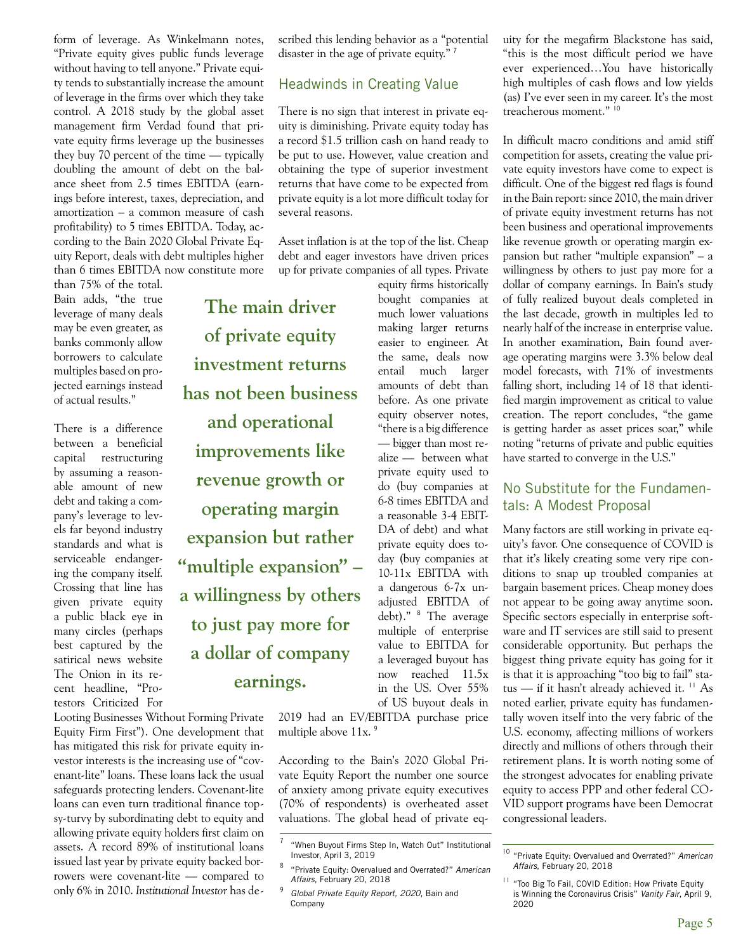form of leverage. As Winkelmann notes, "Private equity gives public funds leverage without having to tell anyone." Private equity tends to substantially increase the amount of leverage in the firms over which they take control. A 2018 study by the global asset management firm Verdad found that private equity firms leverage up the businesses they buy 70 percent of the time — typically doubling the amount of debt on the balance sheet from 2.5 times EBITDA (earnings before interest, taxes, depreciation, and amortization – a common measure of cash profitability) to 5 times EBITDA. Today, according to the Bain 2020 Global Private Equity Report, deals with debt multiples higher than 6 times EBITDA now constitute more

than 75% of the total. Bain adds, "the true leverage of many deals may be even greater, as banks commonly allow borrowers to calculate multiples based on projected earnings instead of actual results."

There is a difference between a beneficial capital restructuring by assuming a reasonable amount of new debt and taking a company's leverage to levels far beyond industry standards and what is serviceable endangering the company itself. Crossing that line has given private equity a public black eye in many circles (perhaps best captured by the satirical news website The Onion in its recent headline, "Protestors Criticized For

Looting Businesses Without Forming Private Equity Firm First"). One development that has mitigated this risk for private equity investor interests is the increasing use of "covenant-lite" loans. These loans lack the usual safeguards protecting lenders. Covenant-lite loans can even turn traditional finance topsy-turvy by subordinating debt to equity and allowing private equity holders first claim on assets. A record 89% of institutional loans issued last year by private equity backed borrowers were covenant-lite — compared to only 6% in 2010. *Institutional Investor* has desy-turvy by subordinating debt to equity and valuations. The global head of private eq- congressional leaders.

scribed this lending behavior as a "potential disaster in the age of private equity."<sup>7</sup>

#### Headwinds in Creating Value

There is no sign that interest in private equity is diminishing. Private equity today has a record \$1.5 trillion cash on hand ready to be put to use. However, value creation and obtaining the type of superior investment returns that have come to be expected from private equity is a lot more difficult today for several reasons.

Asset inflation is at the top of the list. Cheap debt and eager investors have driven prices up for private companies of all types. Private

**The main driver of private equity investment returns has not been business and operational improvements like revenue growth or operating margin expansion but rather "multiple expansion" – a willingness by others to just pay more for a dollar of company earnings.** 

equity firms historically bought companies at much lower valuations making larger returns easier to engineer. At the same, deals now entail much larger amounts of debt than before. As one private equity observer notes, "there is a big difference — bigger than most realize — between what private equity used to do (buy companies at 6-8 times EBITDA and a reasonable 3-4 EBIT-DA of debt) and what private equity does today (buy companies at 10-11x EBITDA with a dangerous 6-7x unadjusted EBITDA of debt)." <sup>8</sup> The average multiple of enterprise value to EBITDA for a leveraged buyout has now reached 11.5x in the US. Over 55% of US buyout deals in

2019 had an EV/EBITDA purchase price multiple above 11x.<sup>9</sup>

According to the Bain's 2020 Global Private Equity Report the number one source of anxiety among private equity executives (70% of respondents) is overheated asset uity for the megafirm Blackstone has said, "this is the most difficult period we have ever experienced…You have historically high multiples of cash flows and low yields (as) I've ever seen in my career. It's the most treacherous moment." <sup>10</sup>

In difficult macro conditions and amid stiff competition for assets, creating the value private equity investors have come to expect is difficult. One of the biggest red flags is found in the Bain report: since 2010, the main driver of private equity investment returns has not been business and operational improvements like revenue growth or operating margin expansion but rather "multiple expansion" – a willingness by others to just pay more for a dollar of company earnings. In Bain's study of fully realized buyout deals completed in the last decade, growth in multiples led to nearly half of the increase in enterprise value. In another examination, Bain found average operating margins were 3.3% below deal model forecasts, with 71% of investments falling short, including 14 of 18 that identified margin improvement as critical to value creation. The report concludes, "the game is getting harder as asset prices soar," while noting "returns of private and public equities have started to converge in the U.S."

#### No Substitute for the Fundamentals: A Modest Proposal

Many factors are still working in private equity's favor. One consequence of COVID is that it's likely creating some very ripe conditions to snap up troubled companies at bargain basement prices. Cheap money does not appear to be going away anytime soon. Specific sectors especially in enterprise software and IT services are still said to present considerable opportunity. But perhaps the biggest thing private equity has going for it is that it is approaching "too big to fail" status — if it hasn't already achieved it.  $\frac{11}{11}$  As noted earlier, private equity has fundamentally woven itself into the very fabric of the U.S. economy, affecting millions of workers directly and millions of others through their retirement plans. It is worth noting some of the strongest advocates for enabling private equity to access PPP and other federal CO-VID support programs have been Democrat

<sup>7</sup> "When Buyout Firms Step In, Watch Out" Institutional Investor, April 3, 2019

<sup>8</sup> "Private Equity: Overvalued and Overrated?" *American Affairs*, February 20, 2018

<sup>9</sup>*Global Private Equity Report, 2020*, Bain and Company

<sup>10</sup> "Private Equity: Overvalued and Overrated?" *American Affairs*, February 20, 2018

<sup>&</sup>lt;sup>11</sup> "Too Big To Fail, COVID Edition: How Private Equity is Winning the Coronavirus Crisis" *Vanity Fair*, April 9, 2020